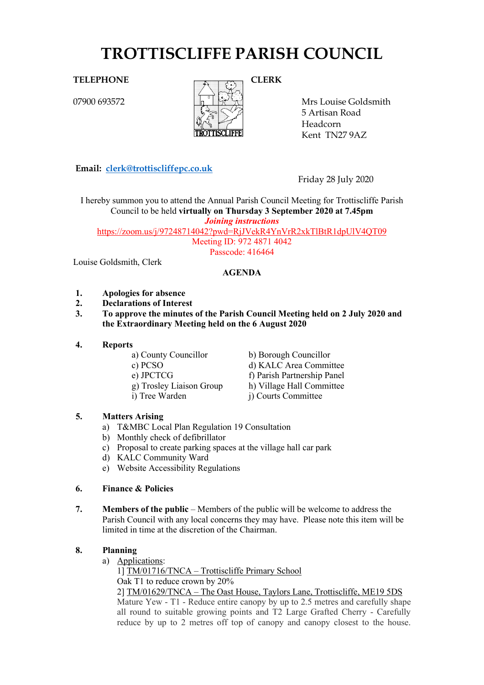# **TROTTISCLIFFE PARISH COUNCIL**

07900 693572



Mrs Louise Goldsmith 5 Artisan Road Headcorn Kent TN27 9AZ

**Email: [clerk@trottiscliffepc.co.uk](mailto:clerk@trottiscliffepc.co.uk)**

Friday 28 July 2020

I hereby summon you to attend the Annual Parish Council Meeting for Trottiscliffe Parish Council to be held **virtually on Thursday 3 September 2020 at 7.45pm** *Joining instructions*

<https://zoom.us/j/97248714042?pwd=RjJVekR4YnVrR2xkTlBtR1dpUlV4QT09>

Meeting ID: 972 4871 4042

Passcode: 416464

Louise Goldsmith, Clerk

### **AGENDA**

- **1. Apologies for absence**
- **2. Declarations of Interest**
- **3. To approve the minutes of the Parish Council Meeting held on 2 July 2020 and the Extraordinary Meeting held on the 6 August 2020**
- **4. Reports**
	- a) County Councillor b) Borough Councillor
	-
	-
	-
	-

c) PCSO d) KALC Area Committee e) JPCTCG f) Parish Partnership Panel

- g) Trosley Liaison Group h) Village Hall Committee<br>i) Tree Warden i) Courts Committee
	- i) Courts Committee

### **5. Matters Arising**

- a) T&MBC Local Plan Regulation 19 Consultation
- b) Monthly check of defibrillator
- c) Proposal to create parking spaces at the village hall car park
- d) KALC Community Ward
- e) Website Accessibility Regulations

#### **6. Finance & Policies**

**7. Members of the public** – Members of the public will be welcome to address the Parish Council with any local concerns they may have. Please note this item will be limited in time at the discretion of the Chairman.

### **8. Planning**

a) Applications:

1] TM/01716/TNCA – Trottiscliffe Primary School Oak T1 to reduce crown by 20%

2] TM/01629/TNCA – The Oast House, Taylors Lane, Trottiscliffe, ME19 5DS

Mature Yew - T1 - Reduce entire canopy by up to 2.5 metres and carefully shape all round to suitable growing points and T2 Large Grafted Cherry - Carefully reduce by up to 2 metres off top of canopy and canopy closest to the house.